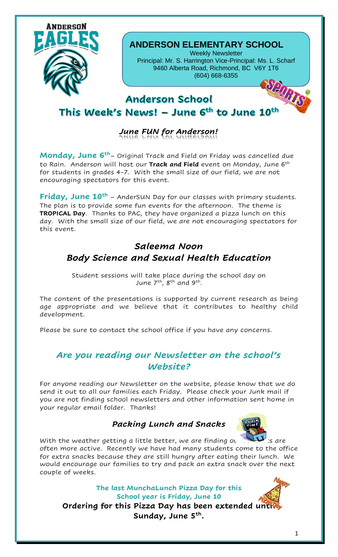

#### **ANDERSON ELEMENTARY SCHOOL**

Weekly Newsletter Principal: Mr. S. Harrington Vice-Principal: Ms. L. Scharf 9460 Alberta Road, Richmond, BC V6Y 1T6 (604) 668-6355





## This Week's News! – June 6th to June 10th

# *June FUN for Anderson!*

**Monday, June 6th**– Original Track and Field on Friday was cancelled due to Rain. Anderson will host our **Track and Field** event on Monday, June 6th for students in grades 4-7. With the small size of our field, we are not encouraging spectators for this event.

**Friday, June 10th** – AnderSUN Day for our classes with primary students. The plan is to provide some fun events for the afternoon. The theme is **TROPICAL Day**. Thanks to PAC, they have organized a pizza lunch on this day. With the small size of our field, we are not encouraging spectators for this event.

## *Saleema Noon Body Science and Sexual Health Education*

Student sessions will take place during the school day on June 7<sup>th</sup>, 8<sup>th</sup> and 9<sup>th</sup>.

The content of the presentations is supported by current research as being age appropriate and we believe that it contributes to healthy child development.

Please be sure to contact the school office if you have any concerns.

### *Are you reading our Newsletter on the school's Website?*

For anyone reading our Newsletter on the website, please know that we do send it out to all our families each Friday. Please check your Junk mail if you are not finding school newsletters and other information sent home in your regular email folder. Thanks!

#### *Packing Lunch and Snacks*



With the weather getting a little better, we are finding our state is are often more active. Recently we have had many students come to the office for extra snacks because they are still hungry after eating their lunch. We would encourage our families to try and pack an extra snack over the next couple of weeks.

**The last MunchaLunch Pizza Day for this School year is Friday, June 10 Ordering for this Pizza Day has been extended until Sunday, June 5th .**



1